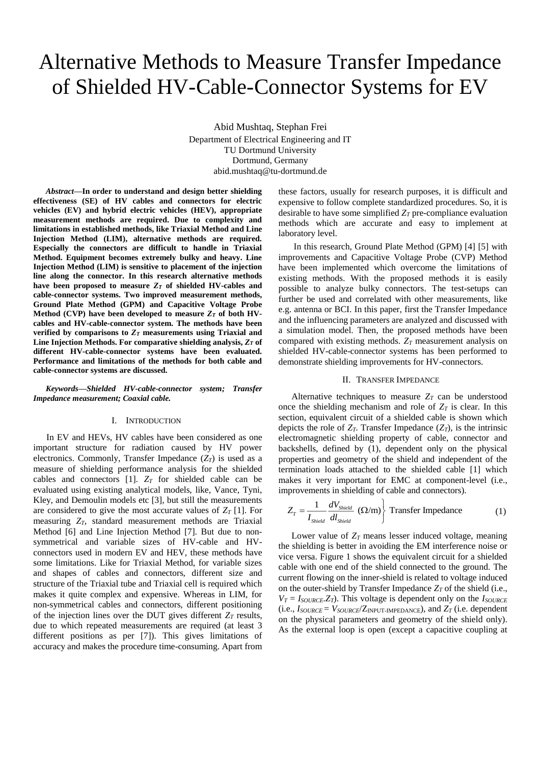# Alternative Methods to Measure Transfer Impedance of Shielded HV-Cable-Connector Systems for EV

Abid Mushtaq, Stephan Frei Department of Electrical Engineering and IT TU Dortmund University Dortmund, Germany abid.mushtaq@tu-dortmund.de

*Abstract***—In order to understand and design better shielding effectiveness (SE) of HV cables and connectors for electric vehicles (EV) and hybrid electric vehicles (HEV), appropriate measurement methods are required. Due to complexity and limitations in established methods, like Triaxial Method and Line Injection Method (LIM), alternative methods are required. Especially the connectors are difficult to handle in Triaxial Method. Equipment becomes extremely bulky and heavy. Line Injection Method (LIM) is sensitive to placement of the injection line along the connector. In this research alternative methods**  have been proposed to measure  $Z_T$  of shielded HV-cables and **cable-connector systems. Two improved measurement methods, Ground Plate Method (GPM) and Capacitive Voltage Probe Method** (CVP) have been developed to measure  $Z_T$  of both HV**cables and HV-cable-connector system. The methods have been verified by comparisons to** *Z<sup>T</sup>* **measurements using Triaxial and Line Injection Methods. For comparative shielding analysis,** *Z<sup>T</sup>* **of different HV-cable-connector systems have been evaluated. Performance and limitations of the methods for both cable and cable-connector systems are discussed.** 

*Keywords—Shielded HV-cable-connector system; Transfer Impedance measurement; Coaxial cable.*

## I. INTRODUCTION

In EV and HEVs, HV cables have been considered as one important structure for radiation caused by HV power electronics. Commonly, Transfer Impedance (*ZT*) is used as a measure of shielding performance analysis for the shielded cables and connectors  $[1]$ .  $Z_T$  for shielded cable can be evaluated using existing analytical models, like, Vance, Tyni, Kley, and Demoulin models etc [\[3\],](#page-3-1) but still the measurements are considered to give the most accurate values of  $Z_T$  [\[1\].](#page-3-0) For measuring *ZT*, standard measurement methods are Triaxial Method [\[6\]](#page-3-2) and Line Injection Method [\[7\].](#page-3-3) But due to nonsymmetrical and variable sizes of HV-cable and HVconnectors used in modern EV and HEV, these methods have some limitations. Like for Triaxial Method, for variable sizes and shapes of cables and connectors, different size and structure of the Triaxial tube and Triaxial cell is required which makes it quite complex and expensive. Whereas in LIM, for non-symmetrical cables and connectors, different positioning of the injection lines over the DUT gives different  $Z_T$  results, due to which repeated measurements are required (at least 3 different positions as per [\[7\]\)](#page-3-3). This gives limitations of accuracy and makes the procedure time-consuming. Apart from

these factors, usually for research purposes, it is difficult and expensive to follow complete standardized procedures. So, it is desirable to have some simplified  $Z_T$  pre-compliance evaluation methods which are accurate and easy to implement at laboratory level.

In this research, Ground Plate Method (GPM) [\[4\]](#page-3-4) [\[5\]](#page-3-5) with improvements and Capacitive Voltage Probe (CVP) Method have been implemented which overcome the limitations of existing methods. With the proposed methods it is easily possible to analyze bulky connectors. The test-setups can further be used and correlated with other measurements, like e.g. antenna or BCI. In this paper, first the Transfer Impedance and the influencing parameters are analyzed and discussed with a simulation model. Then, the proposed methods have been compared with existing methods. *Z<sup>T</sup>* measurement analysis on shielded HV-cable-connector systems has been performed to demonstrate shielding improvements for HV-connectors.

#### II. TRANSFER IMPEDANCE

Alternative techniques to measure  $Z_T$  can be understood once the shielding mechanism and role of  $Z_T$  is clear. In this section, equivalent circuit of a shielded cable is shown which depicts the role of  $Z_T$ . Transfer Impedance  $(Z_T)$ , is the intrinsic electromagnetic shielding property of cable, connector and backshells, defined by (1), dependent only on the physical properties and geometry of the shield and independent of the termination loads attached to the shielded cable [\[1\]](#page-3-0) which makes it very important for EMC at component-level (i.e., improvements in shielding of cable and connectors).

$$
Z_{T} = \frac{1}{I_{\text{Shield}}} \frac{dV_{\text{Shield}}}{dI_{\text{Shield}}} (\Omega/\text{m}) \left\{ \text{Transfer Impedance} \tag{1}
$$

Lower value of  $Z_T$  means lesser induced voltage, meaning the shielding is better in avoiding the EM interference noise or vice versa. Figure [1](#page-1-0) shows the equivalent circuit for a shielded cable with one end of the shield connected to the ground. The current flowing on the inner-shield is related to voltage induced on the outer-shield by Transfer Impedance  $Z_T$  of the shield (i.e.,  $V_T = I_{\text{SOLRCE}}$ . *Z<sub>T</sub>*). This voltage is dependent only on the  $I_{\text{SOLRCE}}$  $(i.e., I_{\text{SOURCE}} = V_{\text{SOURCE}} / Z_{\text{INPUT-IMPEDANCE}})$ , and  $Z_T$  (i.e. dependent on the physical parameters and geometry of the shield only). As the external loop is open (except a capacitive coupling at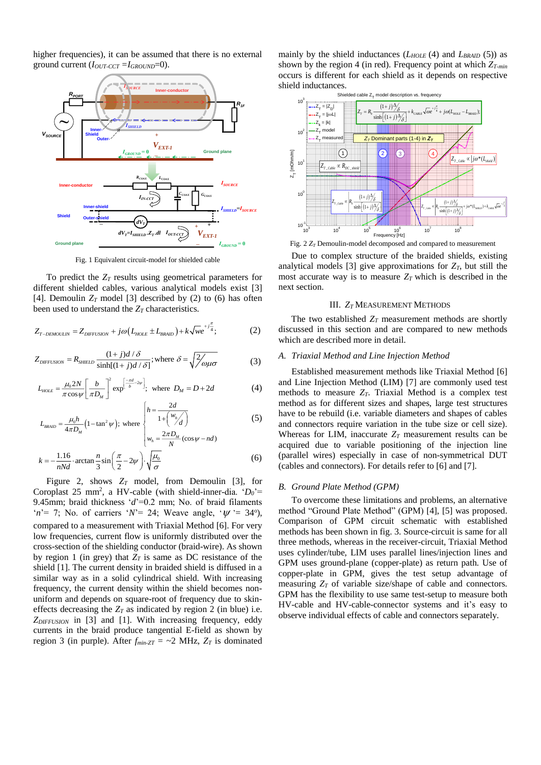higher frequencies), it can be assumed that there is no external ground current (*IOUT-CCT =IGROUND*=0).



<span id="page-1-0"></span>Fig. 1 Equivalent circuit-model for shielded cable

To predict the  $Z_T$  results using geometrical parameters for different shielded cables, various analytical models exist [\[3\]](#page-3-1) [\[4\].](#page-3-6) Demoulin  $Z_T$  model [\[3\]](#page-3-1) described by (2) to (6) has often been used to understand the  $Z_T$  characteristics.

$$
Z_{T-DEMOULN} = Z_{DIFUSON} + j\omega \left( L_{HOLE} \pm L_{BRAD} \right) + k\sqrt{we}^{+j\frac{\pi}{4}}; \tag{2}
$$

$$
Z_{\text{DIFFUSION}} = R_{\text{SHELD}} \frac{(1+j)d/\delta}{\sinh[(1+j)d/\delta]}; \text{where } \delta = \sqrt{\frac{2}{\omega\mu\sigma}} \tag{3}
$$

$$
L_{HOLE} = \frac{\mu_0 2N}{\pi \cos \psi} \left[ \frac{b}{\pi D_M} \right]^2 \exp^{\left[ \frac{-\pi d}{b} - 2\psi \right]}, \text{ where } D_M = D + 2d \tag{4}
$$

$$
T-PEMOULIN = Z_{DIFFUSION} + j\omega (L_{HOLE} \pm L_{BRALD}) + k\sqrt{we}^{-3/4};
$$
\n(2)  
\n
$$
DIFFUSION = R_{SHELD} \frac{(1+j)d/\delta}{\sinh[(1+j)d/\delta]}; \text{ where } \delta = \sqrt{\frac{2}{\omega\mu\sigma}}
$$
\n(3)  
\n
$$
L_{HOLE} = \frac{\mu_0 2N}{\pi \cos \psi} \left[ \frac{b}{\pi D_M} \right]^2 \exp^{-\frac{2\pi d}{b} - 2\psi}; \text{ where } D_M = D + 2d
$$
\n(4)  
\n
$$
L_{BRALD} = \frac{\mu_0 h}{4\pi D_M} (1 - \tan^2 \psi); \text{ where } \begin{cases} h = \frac{2d}{1 + \left(\frac{W_h}{d}\right)} \\ w_h = \frac{2\pi D_M}{N} (\cos \psi - nd) \\ w_h = \frac{2\pi D_M}{N} (\cos \psi - nd) \end{cases}
$$
\n(5)  
\n
$$
k = -\frac{1.16}{nNd} \cdot \arctan \frac{n}{3} \sin \left(\frac{\pi}{2} - 2\psi\right) \cdot \sqrt{\frac{\mu_0}{\sigma}}
$$
\n(6)

*h*

$$
k = -\frac{1.16}{nNd} \cdot \arctan\frac{n}{3}\sin\left(\frac{\pi}{2} - 2\psi\right) \cdot \sqrt{\frac{\mu_0}{\sigma}}
$$
(6)

Figure [2,](#page-1-1) shows  $Z_T$  model, from Demoulin [\[3\],](#page-3-1) for Coroplast 25 mm<sup>2</sup>, a HV-cable (with shield-inner-dia. ' $D_0$ <sup>'=</sup> 9.45mm; braid thickness '*d*'=0.2 mm; No. of braid filaments ' $n'$  = 7; No. of carriers ' $N'$  = 24; Weave angle, ' $\psi$ ' = 34°), compared to a measurement with Triaxial Method [\[6\].](#page-3-2) For very low frequencies, current flow is uniformly distributed over the cross-section of the shielding conductor (braid-wire). As shown by region 1 (in grey) that  $Z_T$  is same as DC resistance of the shield [\[1\].](#page-3-0) The current density in braided shield is diffused in a similar way as in a solid cylindrical shield. With increasing frequency, the current density within the shield becomes nonuniform and depends on square-root of frequency due to skineffects decreasing the  $Z_T$  as indicated by region 2 (in blue) i.e. *ZDIFFUSION* in [\[3\]](#page-3-1) and [\[1\].](#page-3-0) With increasing frequency, eddy currents in the braid produce tangential E-field as shown by region 3 (in purple). After  $f_{min-ZT} = -2$  MHz,  $Z_T$  is dominated

mainly by the shield inductances ( $L_{HOLE}$  (4) and  $L_{BRAID}$  (5)) as shown by the region 4 (in red). Frequency point at which *ZT-min*  occurs is different for each shield as it depends on respective shield inductances.



<span id="page-1-1"></span>Fig. 2 *Z<sup>T</sup>* Demoulin-model decomposed and compared to measurement

Due to complex structure of the braided shields, existing analytical models [\[3\]](#page-3-1) give approximations for  $Z_T$ , but still the most accurate way is to measure  $Z_T$  which is described in the next section.

#### III. *Z<sup>T</sup>* MEASUREMENT METHODS

The two established  $Z_T$  measurement methods are shortly discussed in this section and are compared to new methods which are described more in detail.

#### *A. Triaxial Method and Line Injection Method*

Established measurement methods like Triaxial Method [\[6\]](#page-3-2) and Line Injection Method (LIM) [\[7\]](#page-3-3) are commonly used test methods to measure  $Z_T$ . Triaxial Method is a complex test method as for different sizes and shapes, large test structures have to be rebuild (i.e. variable diameters and shapes of cables and connectors require variation in the tube size or cell size). Whereas for LIM, inaccurate  $Z_T$  measurement results can be acquired due to variable positioning of the injection line (parallel wires) especially in case of non-symmetrical DUT (cables and connectors). For details refer to [\[6\]](#page-3-2) and [\[7\].](#page-3-3)

## *B. Ground Plate Method (GPM)*

To overcome these limitations and problems, an alternative method "Ground Plate Method" (GPM) [\[4\],](#page-3-4) [\[5\]](#page-3-5) was proposed. Comparison of GPM circuit schematic with established methods has been shown in fig. [3.](#page-2-0) Source-circuit is same for all three methods, whereas in the receiver-circuit, Triaxial Method uses cylinder/tube, LIM uses parallel lines/injection lines and GPM uses ground-plane (copper-plate) as return path. Use of copper-plate in GPM, gives the test setup advantage of measuring  $Z_T$  of variable size/shape of cable and connectors. GPM has the flexibility to use same test-setup to measure both HV-cable and HV-cable-connector systems and it's easy to observe individual effects of cable and connectors separately.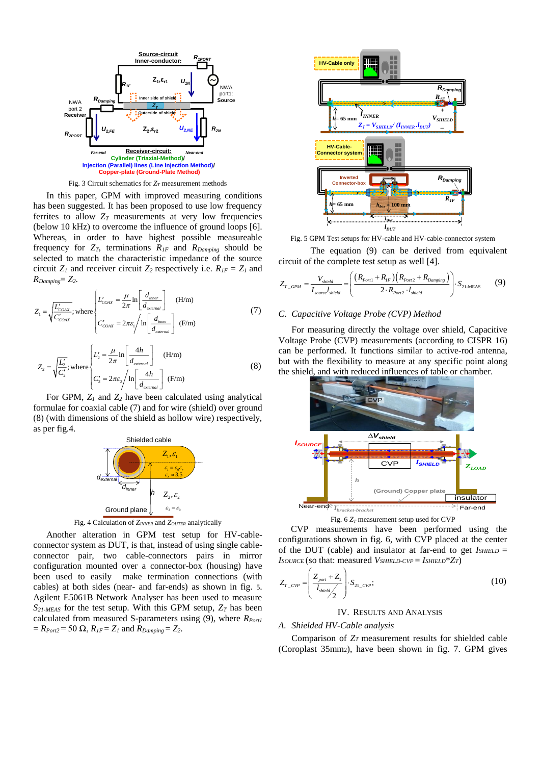

<span id="page-2-0"></span>Fig. 3 Circuit schematics for  $Z_T$  measurement methods

In this paper, GPM with improved measuring conditions has been suggested. It has been proposed to use low frequency ferrites to allow  $Z_T$  measurements at very low frequencies (below 10 kHz) to overcome the influence of ground loop[s \[6\].](#page-3-2) Whereas, in order to have highest possible measureable frequency for  $Z_T$ , terminations  $R_{IF}$  and  $R_{Damping}$  should be selected to match the characteristic impedance of the source circuit  $Z_I$  and receiver circuit  $Z_2$  respectively i.e.  $R_{IF} = Z_I$  and  $R_{Damping}=Z_2$ .

$$
Z_{1} = \sqrt{\frac{L'_{\text{coax}}}{C'_{\text{coax}}}}; \text{ where } \begin{cases} L'_{\text{coax}} = \frac{\mu}{2\pi} \ln \left[ \frac{d_{\text{inner}}}{d_{\text{external}}} \right] & (\text{H/m})\\ C'_{\text{coax}} = 2\pi\varepsilon_{1} / \ln \left[ \frac{d_{\text{inner}}}{d_{\text{external}}} \right] & (\text{F/m}) \end{cases}
$$
(7)

$$
Z_{2} = \sqrt{\frac{L'_{2}}{C'_{2}}}; \text{where } \begin{cases} L'_{2} = \frac{\mu}{2\pi} \ln \left[ \frac{4h}{d_{\text{external}}} \right] & (\text{H/m}) \\ C'_{2} = 2\pi\varepsilon_{2} / \ln \left[ \frac{4h}{d_{\text{external}}} \right] & (\text{F/m}) \end{cases}
$$
(8)

For GPM, *Z<sup>1</sup>* and *Z<sup>2</sup>* have been calculated using analytical formulae for coaxial cable (7) and for wire (shield) over ground (8) (with dimensions of the shield as hollow wire) respectively, as per fig[.4.](#page-2-1)



<span id="page-2-1"></span>

Another alteration in GPM test setup for HV-cableconnector system as DUT, is that, instead of using single cableconnector pair, two cable-connectors pairs in mirror configuration mounted over a connector-box (housing) have been used to easily make termination connections (with cables) at both sides (near- and far-ends) as shown in fig. [5](#page-2-2). Agilent E5061B Network Analyser has been used to measure *S21-MEAS* for the test setup. With this GPM setup, *Z<sup>T</sup>* has been calculated from measured S-parameters using (9), where *RPort1*   $=$   $R_{Port2}$  = 50  $\Omega$ ,  $R_{IF}$  =  $Z_l$  and  $R_{Damping}$  =  $Z_2$ .



<span id="page-2-2"></span>Fig. 5 GPM Test setups for HV-cable and HV-cable-connector system

The equation (9) can be derived from equivalent circuit of the complete test setup as well [\[4\].](#page-3-6)

$$
Z_{T\_GPM} = \frac{V_{\text{shield}}}{I_{\text{source}}I_{\text{shield}}} = \left(\frac{(R_{\text{Port}} + R_{\text{IF}}) (R_{\text{Port2}} + R_{\text{Damping}})}{2 \cdot R_{\text{Port2}} \cdot I_{\text{shield}}}\right) \cdot S_{\text{21-MEAS}} \tag{9}
$$

## *C. Capacitive Voltage Probe (CVP) Method*

For measuring directly the voltage over shield, Capacitive Voltage Probe (CVP) measurements (according to CISPR 16) can be performed. It functions similar to active-rod antenna, but with the flexibility to measure at any specific point along the shield, and with reduced influences of table or chamber.



<span id="page-2-3"></span>Fig. 6  $Z_T$  measurement setup used for CVP

CVP measurements have been performed using the configurations shown in fig. [6,](#page-2-3) with CVP placed at the center of the DUT (cable) and insulator at far-end to get *ISHIELD* = *ISOURCE* (so that: measured *VSHIELD-CVP* = *ISHIELD*<sup>\*</sup> $ZT$ )

$$
Z_{T\_CVP} = \left(\frac{Z_{port} + Z_1}{I_{shield}}\right) \cdot S_{21\_CVP};
$$
\n(10)

## IV. RESULTS AND ANALYSIS

#### *A. Shielded HV-Cable analysis*

Comparison of *ZT* measurement results for shielded cable (Coroplast 35mm2), have been shown in fig. [7.](#page-3-7) GPM gives